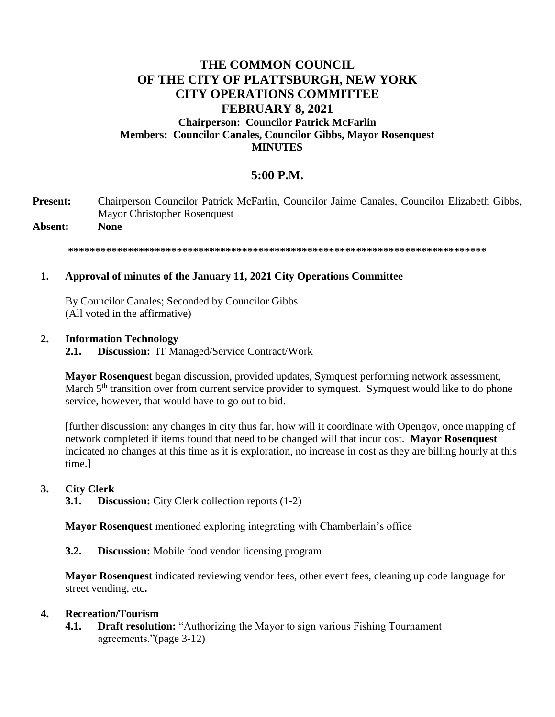## **THE COMMON COUNCIL OF THE CITY OF PLATTSBURGH, NEW YORK CITY OPERATIONS COMMITTEE FEBRUARY 8, 2021 Chairperson: Councilor Patrick McFarlin Members: Councilor Canales, Councilor Gibbs, Mayor Rosenquest MINUTES**

# **5:00 P.M.**

**Present:** Chairperson Councilor Patrick McFarlin, Councilor Jaime Canales, Councilor Elizabeth Gibbs, Mayor Christopher Rosenquest

**Absent: None**

**\*\*\*\*\*\*\*\*\*\*\*\*\*\*\*\*\*\*\*\*\*\*\*\*\*\*\*\*\*\*\*\*\*\*\*\*\*\*\*\*\*\*\*\*\*\*\*\*\*\*\*\*\*\*\*\*\*\*\*\*\*\*\*\*\*\*\*\*\*\*\*\*\*\*\*\*\***

## **1. Approval of minutes of the January 11, 2021 City Operations Committee**

By Councilor Canales; Seconded by Councilor Gibbs (All voted in the affirmative)

### **2. Information Technology**

**2.1. Discussion:** IT Managed/Service Contract/Work

**Mayor Rosenquest** began discussion, provided updates, Symquest performing network assessment, March 5<sup>th</sup> transition over from current service provider to symquest. Symquest would like to do phone service, however, that would have to go out to bid.

[further discussion: any changes in city thus far, how will it coordinate with Opengov, once mapping of network completed if items found that need to be changed will that incur cost. **Mayor Rosenquest**  indicated no changes at this time as it is exploration, no increase in cost as they are billing hourly at this time.]

### **3. City Clerk**

**3.1. Discussion:** City Clerk collection reports (1-2)

**Mayor Rosenquest** mentioned exploring integrating with Chamberlain's office

**3.2. Discussion:** Mobile food vendor licensing program

**Mayor Rosenquest** indicated reviewing vendor fees, other event fees, cleaning up code language for street vending, etc**.**

### **4. Recreation/Tourism**

**4.1. Draft resolution:** "Authorizing the Mayor to sign various Fishing Tournament agreements."(page 3-12)